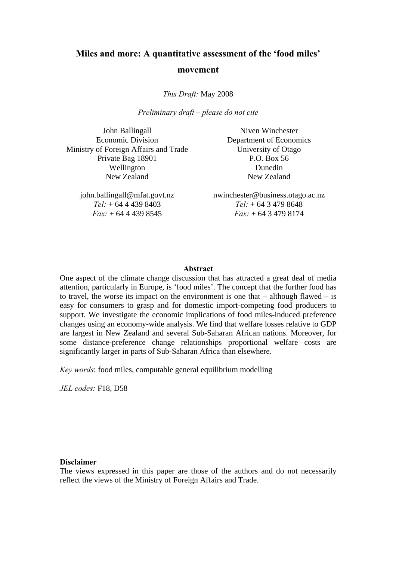# **Miles and more: A quantitative assessment of the 'food miles' movement**

*This Draft:* May 2008

*Preliminary draft – please do not cite* 

John Ballingall Economic Division Ministry of Foreign Affairs and Trade Private Bag 18901 Wellington New Zealand

> john.ballingall@mfat.govt.nz *Tel:* + 64 4 439 8403 *Fax:* + 64 4 439 8545

Niven Winchester Department of Economics University of Otago P.O. Box 56 Dunedin New Zealand

nwinchester@business.otago.ac.nz *Tel:* + 64 3 479 8648 *Fax:* + 64 3 479 8174

#### **Abstract**

One aspect of the climate change discussion that has attracted a great deal of media attention, particularly in Europe, is 'food miles'. The concept that the further food has to travel, the worse its impact on the environment is one that  $-$  although flawed  $-$  is easy for consumers to grasp and for domestic import-competing food producers to support. We investigate the economic implications of food miles-induced preference changes using an economy-wide analysis. We find that welfare losses relative to GDP are largest in New Zealand and several Sub-Saharan African nations. Moreover, for some distance-preference change relationships proportional welfare costs are significantly larger in parts of Sub-Saharan Africa than elsewhere.

*Key words*: food miles, computable general equilibrium modelling

*JEL codes:* F18, D58

#### **Disclaimer**

The views expressed in this paper are those of the authors and do not necessarily reflect the views of the Ministry of Foreign Affairs and Trade.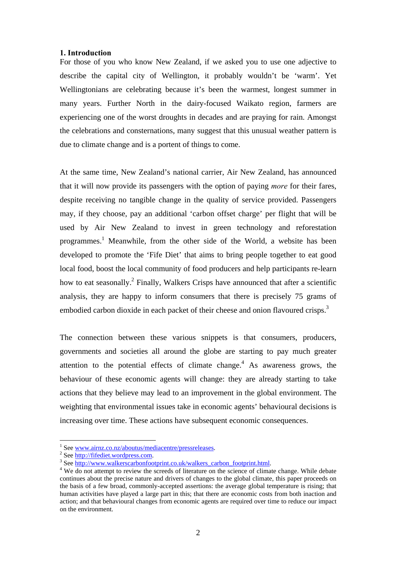## **1. Introduction**

For those of you who know New Zealand, if we asked you to use one adjective to describe the capital city of Wellington, it probably wouldn't be 'warm'. Yet Wellingtonians are celebrating because it's been the warmest, longest summer in many years. Further North in the dairy-focused Waikato region, farmers are experiencing one of the worst droughts in decades and are praying for rain. Amongst the celebrations and consternations, many suggest that this unusual weather pattern is due to climate change and is a portent of things to come.

At the same time, New Zealand's national carrier, Air New Zealand, has announced that it will now provide its passengers with the option of paying *more* for their fares, despite receiving no tangible change in the quality of service provided. Passengers may, if they choose, pay an additional 'carbon offset charge' per flight that will be used by Air New Zealand to invest in green technology and reforestation programmes.<sup>1</sup> Meanwhile, from the other side of the World, a website has been developed to promote the 'Fife Diet' that aims to bring people together to eat good local food, boost the local community of food producers and help participants re-learn how to eat seasonally.<sup>2</sup> Finally, Walkers Crisps have announced that after a scientific analysis, they are happy to inform consumers that there is precisely 75 grams of embodied carbon dioxide in each packet of their cheese and onion flavoured crisps.<sup>3</sup>

The connection between these various snippets is that consumers, producers, governments and societies all around the globe are starting to pay much greater attention to the potential effects of climate change.<sup>4</sup> As awareness grows, the behaviour of these economic agents will change: they are already starting to take actions that they believe may lead to an improvement in the global environment. The weighting that environmental issues take in economic agents' behavioural decisions is increasing over time. These actions have subsequent economic consequences.

 $\frac{1}{2}$  See <u>www.airnz.co.nz/aboutus/mediacentre/pressreleases</u>.

<sup>&</sup>lt;sup>2</sup> See http://fifediet.wordpress.com.

<sup>&</sup>lt;sup>3</sup> See http://www.walkerscarbonfootprint.co.uk/walkers\_carbon\_footprint.html.

<sup>&</sup>lt;sup>4</sup> We do not attempt to review the screeds of literature on the science of climate change. While debate continues about the precise nature and drivers of changes to the global climate, this paper proceeds on the basis of a few broad, commonly-accepted assertions: the average global temperature is rising; that human activities have played a large part in this; that there are economic costs from both inaction and action; and that behavioural changes from economic agents are required over time to reduce our impact on the environment.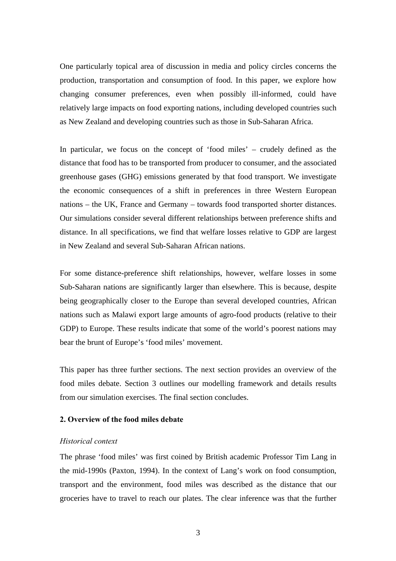One particularly topical area of discussion in media and policy circles concerns the production, transportation and consumption of food. In this paper, we explore how changing consumer preferences, even when possibly ill-informed, could have relatively large impacts on food exporting nations, including developed countries such as New Zealand and developing countries such as those in Sub-Saharan Africa.

In particular, we focus on the concept of 'food miles' – crudely defined as the distance that food has to be transported from producer to consumer, and the associated greenhouse gases (GHG) emissions generated by that food transport. We investigate the economic consequences of a shift in preferences in three Western European nations – the UK, France and Germany – towards food transported shorter distances. Our simulations consider several different relationships between preference shifts and distance. In all specifications, we find that welfare losses relative to GDP are largest in New Zealand and several Sub-Saharan African nations.

For some distance-preference shift relationships, however, welfare losses in some Sub-Saharan nations are significantly larger than elsewhere. This is because, despite being geographically closer to the Europe than several developed countries, African nations such as Malawi export large amounts of agro-food products (relative to their GDP) to Europe. These results indicate that some of the world's poorest nations may bear the brunt of Europe's 'food miles' movement.

This paper has three further sections. The next section provides an overview of the food miles debate. Section 3 outlines our modelling framework and details results from our simulation exercises. The final section concludes.

# **2. Overview of the food miles debate**

## *Historical context*

The phrase 'food miles' was first coined by British academic Professor Tim Lang in the mid-1990s (Paxton, 1994). In the context of Lang's work on food consumption, transport and the environment, food miles was described as the distance that our groceries have to travel to reach our plates. The clear inference was that the further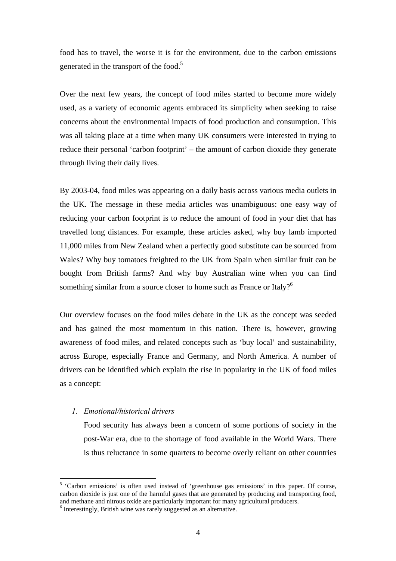food has to travel, the worse it is for the environment, due to the carbon emissions generated in the transport of the food.<sup>5</sup>

Over the next few years, the concept of food miles started to become more widely used, as a variety of economic agents embraced its simplicity when seeking to raise concerns about the environmental impacts of food production and consumption. This was all taking place at a time when many UK consumers were interested in trying to reduce their personal 'carbon footprint' – the amount of carbon dioxide they generate through living their daily lives.

By 2003-04, food miles was appearing on a daily basis across various media outlets in the UK. The message in these media articles was unambiguous: one easy way of reducing your carbon footprint is to reduce the amount of food in your diet that has travelled long distances. For example, these articles asked, why buy lamb imported 11,000 miles from New Zealand when a perfectly good substitute can be sourced from Wales? Why buy tomatoes freighted to the UK from Spain when similar fruit can be bought from British farms? And why buy Australian wine when you can find something similar from a source closer to home such as France or Italy?<sup>6</sup>

Our overview focuses on the food miles debate in the UK as the concept was seeded and has gained the most momentum in this nation. There is, however, growing awareness of food miles, and related concepts such as 'buy local' and sustainability, across Europe, especially France and Germany, and North America. A number of drivers can be identified which explain the rise in popularity in the UK of food miles as a concept:

## *1. Emotional/historical drivers*

 $\overline{a}$ 

Food security has always been a concern of some portions of society in the post-War era, due to the shortage of food available in the World Wars. There is thus reluctance in some quarters to become overly reliant on other countries

<sup>&</sup>lt;sup>5</sup> 'Carbon emissions' is often used instead of 'greenhouse gas emissions' in this paper. Of course, carbon dioxide is just one of the harmful gases that are generated by producing and transporting food, and methane and nitrous oxide are particularly important for many agricultural producers.

<sup>&</sup>lt;sup>6</sup> Interestingly, British wine was rarely suggested as an alternative.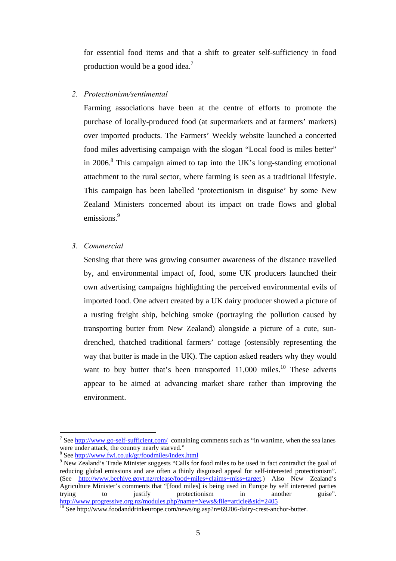for essential food items and that a shift to greater self-sufficiency in food production would be a good idea.<sup>7</sup>

# *2. Protectionism/sentimental*

Farming associations have been at the centre of efforts to promote the purchase of locally-produced food (at supermarkets and at farmers' markets) over imported products. The Farmers' Weekly website launched a concerted food miles advertising campaign with the slogan "Local food is miles better" in 2006.<sup>8</sup> This campaign aimed to tap into the UK's long-standing emotional attachment to the rural sector, where farming is seen as a traditional lifestyle. This campaign has been labelled 'protectionism in disguise' by some New Zealand Ministers concerned about its impact on trade flows and global emissions.<sup>9</sup>

# *3. Commercial*

Sensing that there was growing consumer awareness of the distance travelled by, and environmental impact of, food, some UK producers launched their own advertising campaigns highlighting the perceived environmental evils of imported food. One advert created by a UK dairy producer showed a picture of a rusting freight ship, belching smoke (portraying the pollution caused by transporting butter from New Zealand) alongside a picture of a cute, sundrenched, thatched traditional farmers' cottage (ostensibly representing the way that butter is made in the UK). The caption asked readers why they would want to buy butter that's been transported  $11,000$  miles.<sup>10</sup> These adverts appear to be aimed at advancing market share rather than improving the environment.

<sup>&</sup>lt;sup>7</sup> See http://www.go-self-sufficient.com/ containing comments such as "in wartime, when the sea lanes were under attack, the country nearly starved."

<sup>&</sup>lt;sup>8</sup> See <u>http://www.fwi.co.uk/gr/foodmiles/index.html</u><br><sup>9</sup> Now Zeeland's Trade Minister suggests "Calls for

<sup>&</sup>lt;sup>9</sup> New Zealand's Trade Minister suggests "Calls for food miles to be used in fact contradict the goal of reducing global emissions and are often a thinly disguised appeal for self-interested protectionism". (See http://www.beehive.govt.nz/release/food+miles+claims+miss+target.) Also New Zealand's Agriculture Minister's comments that "[food miles] is being used in Europe by self interested parties trying to iustify protectionism in another guise". trying to justify protectionism in another guise".<br>http://www.progressive.org.nz/modules.php?name=News&file=article&sid=2405

 $\frac{10}{10}$  See http://www.foodanddrinkeurope.com/news/ng.asp?n=69206-dairy-crest-anchor-butter.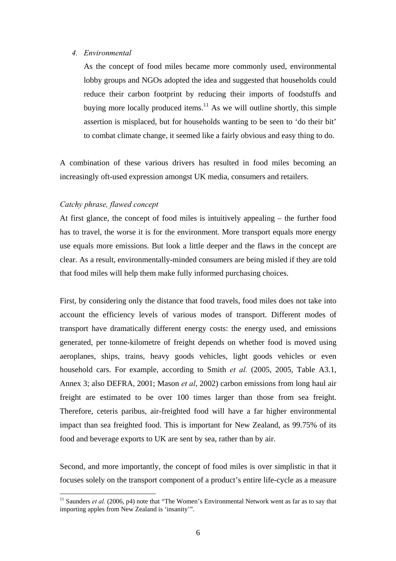## *4. Environmental*

As the concept of food miles became more commonly used, environmental lobby groups and NGOs adopted the idea and suggested that households could reduce their carbon footprint by reducing their imports of foodstuffs and buying more locally produced items.<sup>11</sup> As we will outline shortly, this simple assertion is misplaced, but for households wanting to be seen to 'do their bit' to combat climate change, it seemed like a fairly obvious and easy thing to do.

A combination of these various drivers has resulted in food miles becoming an increasingly oft-used expression amongst UK media, consumers and retailers.

## *Catchy phrase, flawed concept*

 $\overline{a}$ 

At first glance, the concept of food miles is intuitively appealing – the further food has to travel, the worse it is for the environment. More transport equals more energy use equals more emissions. But look a little deeper and the flaws in the concept are clear. As a result, environmentally-minded consumers are being misled if they are told that food miles will help them make fully informed purchasing choices.

First, by considering only the distance that food travels, food miles does not take into account the efficiency levels of various modes of transport. Different modes of transport have dramatically different energy costs: the energy used, and emissions generated, per tonne-kilometre of freight depends on whether food is moved using aeroplanes, ships, trains, heavy goods vehicles, light goods vehicles or even household cars. For example, according to Smith *et al.* (2005, 2005, Table A3.1, Annex 3; also DEFRA, 2001; Mason *et al*, 2002) carbon emissions from long haul air freight are estimated to be over 100 times larger than those from sea freight. Therefore, ceteris paribus, air-freighted food will have a far higher environmental impact than sea freighted food. This is important for New Zealand, as 99.75% of its food and beverage exports to UK are sent by sea, rather than by air.

Second, and more importantly, the concept of food miles is over simplistic in that it focuses solely on the transport component of a product's entire life-cycle as a measure

<sup>&</sup>lt;sup>11</sup> Saunders *et al.* (2006, p4) note that "The Women's Environmental Network went as far as to say that importing apples from New Zealand is 'insanity'".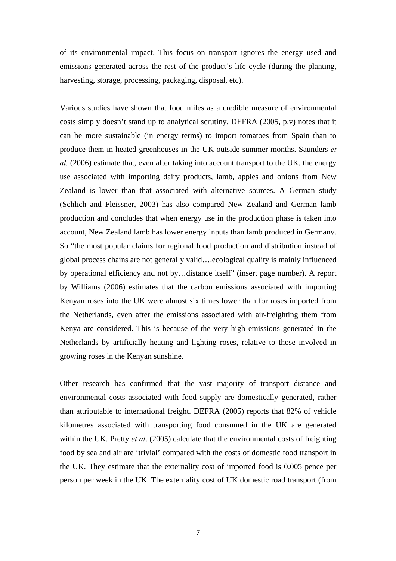of its environmental impact. This focus on transport ignores the energy used and emissions generated across the rest of the product's life cycle (during the planting, harvesting, storage, processing, packaging, disposal, etc).

Various studies have shown that food miles as a credible measure of environmental costs simply doesn't stand up to analytical scrutiny. DEFRA (2005, p.v) notes that it can be more sustainable (in energy terms) to import tomatoes from Spain than to produce them in heated greenhouses in the UK outside summer months. Saunders *et al.* (2006) estimate that, even after taking into account transport to the UK, the energy use associated with importing dairy products, lamb, apples and onions from New Zealand is lower than that associated with alternative sources. A German study (Schlich and Fleissner, 2003) has also compared New Zealand and German lamb production and concludes that when energy use in the production phase is taken into account, New Zealand lamb has lower energy inputs than lamb produced in Germany. So "the most popular claims for regional food production and distribution instead of global process chains are not generally valid….ecological quality is mainly influenced by operational efficiency and not by…distance itself" (insert page number). A report by Williams (2006) estimates that the carbon emissions associated with importing Kenyan roses into the UK were almost six times lower than for roses imported from the Netherlands, even after the emissions associated with air-freighting them from Kenya are considered. This is because of the very high emissions generated in the Netherlands by artificially heating and lighting roses, relative to those involved in growing roses in the Kenyan sunshine.

Other research has confirmed that the vast majority of transport distance and environmental costs associated with food supply are domestically generated, rather than attributable to international freight. DEFRA (2005) reports that 82% of vehicle kilometres associated with transporting food consumed in the UK are generated within the UK. Pretty *et al.* (2005) calculate that the environmental costs of freighting food by sea and air are 'trivial' compared with the costs of domestic food transport in the UK. They estimate that the externality cost of imported food is 0.005 pence per person per week in the UK. The externality cost of UK domestic road transport (from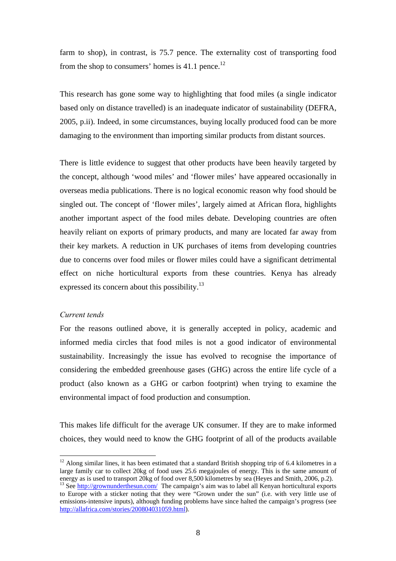farm to shop), in contrast, is 75.7 pence. The externality cost of transporting food from the shop to consumers' homes is  $41.1$  pence.<sup>12</sup>

This research has gone some way to highlighting that food miles (a single indicator based only on distance travelled) is an inadequate indicator of sustainability (DEFRA, 2005, p.ii). Indeed, in some circumstances, buying locally produced food can be more damaging to the environment than importing similar products from distant sources.

There is little evidence to suggest that other products have been heavily targeted by the concept, although 'wood miles' and 'flower miles' have appeared occasionally in overseas media publications. There is no logical economic reason why food should be singled out. The concept of 'flower miles', largely aimed at African flora, highlights another important aspect of the food miles debate. Developing countries are often heavily reliant on exports of primary products, and many are located far away from their key markets. A reduction in UK purchases of items from developing countries due to concerns over food miles or flower miles could have a significant detrimental effect on niche horticultural exports from these countries. Kenya has already expressed its concern about this possibility.<sup>13</sup>

## *Current tends*

 $\overline{a}$ 

For the reasons outlined above, it is generally accepted in policy, academic and informed media circles that food miles is not a good indicator of environmental sustainability. Increasingly the issue has evolved to recognise the importance of considering the embedded greenhouse gases (GHG) across the entire life cycle of a product (also known as a GHG or carbon footprint) when trying to examine the environmental impact of food production and consumption.

This makes life difficult for the average UK consumer. If they are to make informed choices, they would need to know the GHG footprint of all of the products available

 $12$  Along similar lines, it has been estimated that a standard British shopping trip of 6.4 kilometres in a large family car to collect 20kg of food uses 25.6 megajoules of energy. This is the same amount of energy as is used to transport 20kg of food over 8,500 kilometres by sea (Heyes and Smith, 2006, p.2).

<sup>&</sup>lt;sup>13</sup> See http://grownunderthesun.com/ The campaign's aim was to label all Kenyan horticultural exports to Europe with a sticker noting that they were "Grown under the sun" (i.e. with very little use of emissions-intensive inputs), although funding problems have since halted the campaign's progress (see http://allafrica.com/stories/200804031059.html).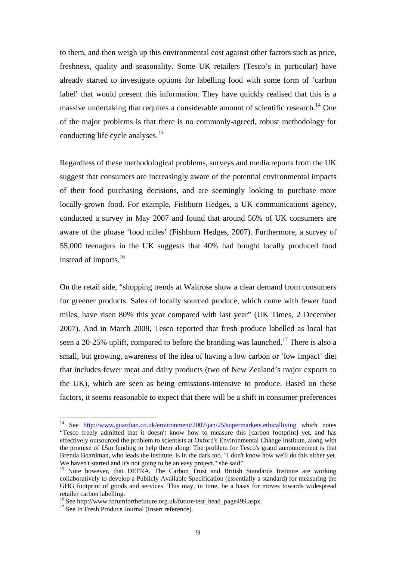to them, and then weigh up this environmental cost against other factors such as price, freshness, quality and seasonality. Some UK retailers (Tesco's in particular) have already started to investigate options for labelling food with some form of 'carbon label' that would present this information. They have quickly realised that this is a massive undertaking that requires a considerable amount of scientific research.<sup>14</sup> One of the major problems is that there is no commonly-agreed, robust methodology for conducting life cycle analyses.<sup>15</sup>

Regardless of these methodological problems, surveys and media reports from the UK suggest that consumers are increasingly aware of the potential environmental impacts of their food purchasing decisions, and are seemingly looking to purchase more locally-grown food. For example, Fishburn Hedges, a UK communications agency, conducted a survey in May 2007 and found that around 56% of UK consumers are aware of the phrase 'food miles' (Fishburn Hedges, 2007). Furthermore, a survey of 55,000 teenagers in the UK suggests that 40% had bought locally produced food instead of imports.16

On the retail side, "shopping trends at Waitrose show a clear demand from consumers for greener products. Sales of locally sourced produce, which come with fewer food miles, have risen 80% this year compared with last year" (UK Times, 2 December 2007). And in March 2008, Tesco reported that fresh produce labelled as local has seen a 20-25% uplift, compared to before the branding was launched.<sup>17</sup> There is also a small, but growing, awareness of the idea of having a low carbon or 'low impact' diet that includes fewer meat and dairy products (two of New Zealand's major exports to the UK), which are seen as being emissions-intensive to produce. Based on these factors, it seems reasonable to expect that there will be a shift in consumer preferences

<sup>&</sup>lt;sup>14</sup> See http://www.guardian.co.uk/environment/2007/jan/25/supermarkets.ethicalliving which notes "Tesco freely admitted that it doesn't know how to measure this [carbon footprint] yet, and has effectively outsourced the problem to scientists at Oxford's Environmental Change Institute, along with the promise of £5m funding to help them along. The problem for Tesco's grand announcement is that Brenda Boardman, who leads the institute, is in the dark too. "I don't know how we'll do this either yet. We haven't started and it's not going to be an easy project," she said".

<sup>&</sup>lt;sup>15</sup> Note however, that DEFRA, The Carbon Trust and British Standards Institute are working collaboratively to develop a Publicly Available Specification (essentially a standard) for measuring the GHG footprint of goods and services. This may, in time, be a basis for moves towards widespread retailer carbon labelling.

<sup>&</sup>lt;sup>16</sup> See http://www.forumforthefuture.org.uk/future/test\_head\_page499.aspx.

<sup>&</sup>lt;sup>17</sup> See In Fresh Produce Journal (Insert reference).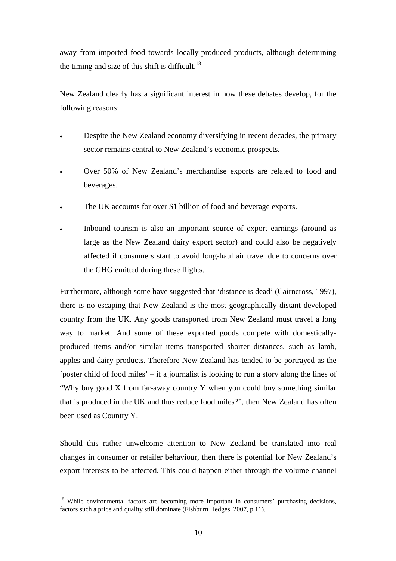away from imported food towards locally-produced products, although determining the timing and size of this shift is difficult.<sup>18</sup>

New Zealand clearly has a significant interest in how these debates develop, for the following reasons:

- Despite the New Zealand economy diversifying in recent decades, the primary sector remains central to New Zealand's economic prospects.
- Over 50% of New Zealand's merchandise exports are related to food and beverages.
- The UK accounts for over \$1 billion of food and beverage exports.
- Inbound tourism is also an important source of export earnings (around as large as the New Zealand dairy export sector) and could also be negatively affected if consumers start to avoid long-haul air travel due to concerns over the GHG emitted during these flights.

Furthermore, although some have suggested that 'distance is dead' (Cairncross, 1997), there is no escaping that New Zealand is the most geographically distant developed country from the UK. Any goods transported from New Zealand must travel a long way to market. And some of these exported goods compete with domesticallyproduced items and/or similar items transported shorter distances, such as lamb, apples and dairy products. Therefore New Zealand has tended to be portrayed as the 'poster child of food miles' – if a journalist is looking to run a story along the lines of "Why buy good X from far-away country Y when you could buy something similar that is produced in the UK and thus reduce food miles?", then New Zealand has often been used as Country Y.

Should this rather unwelcome attention to New Zealand be translated into real changes in consumer or retailer behaviour, then there is potential for New Zealand's export interests to be affected. This could happen either through the volume channel

<sup>&</sup>lt;sup>18</sup> While environmental factors are becoming more important in consumers' purchasing decisions, factors such a price and quality still dominate (Fishburn Hedges, 2007, p.11).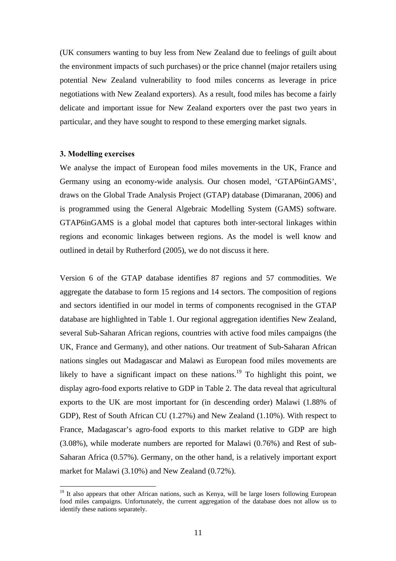(UK consumers wanting to buy less from New Zealand due to feelings of guilt about the environment impacts of such purchases) or the price channel (major retailers using potential New Zealand vulnerability to food miles concerns as leverage in price negotiations with New Zealand exporters). As a result, food miles has become a fairly delicate and important issue for New Zealand exporters over the past two years in particular, and they have sought to respond to these emerging market signals.

### **3. Modelling exercises**

 $\overline{a}$ 

We analyse the impact of European food miles movements in the UK, France and Germany using an economy-wide analysis. Our chosen model, 'GTAP6inGAMS', draws on the Global Trade Analysis Project (GTAP) database (Dimaranan, 2006) and is programmed using the General Algebraic Modelling System (GAMS) software. GTAP6inGAMS is a global model that captures both inter-sectoral linkages within regions and economic linkages between regions. As the model is well know and outlined in detail by Rutherford (2005), we do not discuss it here.

Version 6 of the GTAP database identifies 87 regions and 57 commodities. We aggregate the database to form 15 regions and 14 sectors. The composition of regions and sectors identified in our model in terms of components recognised in the GTAP database are highlighted in Table 1. Our regional aggregation identifies New Zealand, several Sub-Saharan African regions, countries with active food miles campaigns (the UK, France and Germany), and other nations. Our treatment of Sub-Saharan African nations singles out Madagascar and Malawi as European food miles movements are likely to have a significant impact on these nations.<sup>19</sup> To highlight this point, we display agro-food exports relative to GDP in Table 2. The data reveal that agricultural exports to the UK are most important for (in descending order) Malawi (1.88% of GDP), Rest of South African CU (1.27%) and New Zealand (1.10%). With respect to France, Madagascar's agro-food exports to this market relative to GDP are high (3.08%), while moderate numbers are reported for Malawi (0.76%) and Rest of sub-Saharan Africa (0.57%). Germany, on the other hand, is a relatively important export market for Malawi (3.10%) and New Zealand (0.72%).

<sup>&</sup>lt;sup>19</sup> It also appears that other African nations, such as Kenya, will be large losers following European food miles campaigns. Unfortunately, the current aggregation of the database does not allow us to identify these nations separately.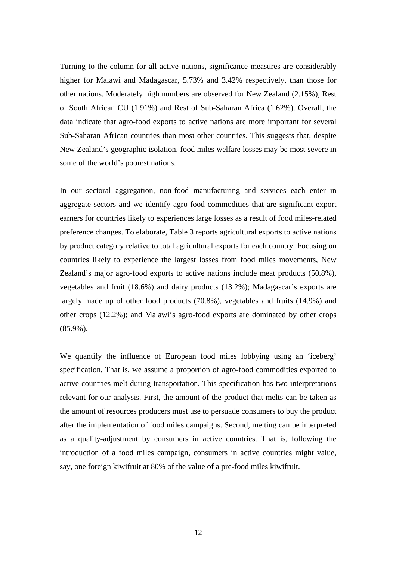Turning to the column for all active nations, significance measures are considerably higher for Malawi and Madagascar, 5.73% and 3.42% respectively, than those for other nations. Moderately high numbers are observed for New Zealand (2.15%), Rest of South African CU (1.91%) and Rest of Sub-Saharan Africa (1.62%). Overall, the data indicate that agro-food exports to active nations are more important for several Sub-Saharan African countries than most other countries. This suggests that, despite New Zealand's geographic isolation, food miles welfare losses may be most severe in some of the world's poorest nations.

In our sectoral aggregation, non-food manufacturing and services each enter in aggregate sectors and we identify agro-food commodities that are significant export earners for countries likely to experiences large losses as a result of food miles-related preference changes. To elaborate, Table 3 reports agricultural exports to active nations by product category relative to total agricultural exports for each country. Focusing on countries likely to experience the largest losses from food miles movements, New Zealand's major agro-food exports to active nations include meat products (50.8%), vegetables and fruit (18.6%) and dairy products (13.2%); Madagascar's exports are largely made up of other food products (70.8%), vegetables and fruits (14.9%) and other crops (12.2%); and Malawi's agro-food exports are dominated by other crops (85.9%).

We quantify the influence of European food miles lobbying using an 'iceberg' specification. That is, we assume a proportion of agro-food commodities exported to active countries melt during transportation. This specification has two interpretations relevant for our analysis. First, the amount of the product that melts can be taken as the amount of resources producers must use to persuade consumers to buy the product after the implementation of food miles campaigns. Second, melting can be interpreted as a quality-adjustment by consumers in active countries. That is, following the introduction of a food miles campaign, consumers in active countries might value, say, one foreign kiwifruit at 80% of the value of a pre-food miles kiwifruit.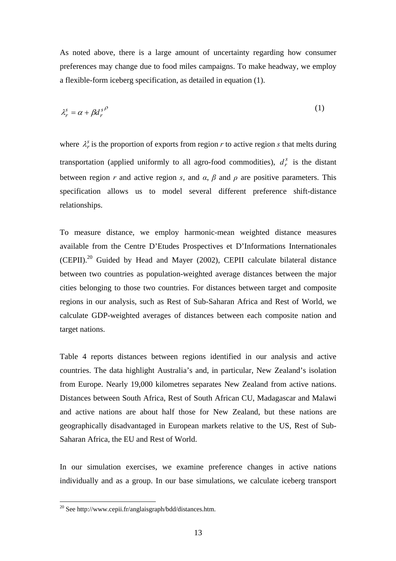As noted above, there is a large amount of uncertainty regarding how consumer preferences may change due to food miles campaigns. To make headway, we employ a flexible-form iceberg specification, as detailed in equation (1).

$$
\lambda_r^s = \alpha + \beta d_r^{s\rho} \tag{1}
$$

where  $\lambda_r^s$  is the proportion of exports from region *r* to active region *s* that melts during transportation (applied uniformly to all agro-food commodities),  $d_r^s$  is the distant between region *r* and active region *s*, and  $\alpha$ ,  $\beta$  and  $\rho$  are positive parameters. This specification allows us to model several different preference shift-distance relationships.

To measure distance, we employ harmonic-mean weighted distance measures available from the Centre D'Etudes Prospectives et D'Informations Internationales  $(CEPII)<sup>20</sup>$  Guided by Head and Mayer (2002), CEPII calculate bilateral distance between two countries as population-weighted average distances between the major cities belonging to those two countries. For distances between target and composite regions in our analysis, such as Rest of Sub-Saharan Africa and Rest of World, we calculate GDP-weighted averages of distances between each composite nation and target nations.

Table 4 reports distances between regions identified in our analysis and active countries. The data highlight Australia's and, in particular, New Zealand's isolation from Europe. Nearly 19,000 kilometres separates New Zealand from active nations. Distances between South Africa, Rest of South African CU, Madagascar and Malawi and active nations are about half those for New Zealand, but these nations are geographically disadvantaged in European markets relative to the US, Rest of Sub-Saharan Africa, the EU and Rest of World.

In our simulation exercises, we examine preference changes in active nations individually and as a group. In our base simulations, we calculate iceberg transport

 $^{20}$  See http://www.cepii.fr/anglaisgraph/bdd/distances.htm.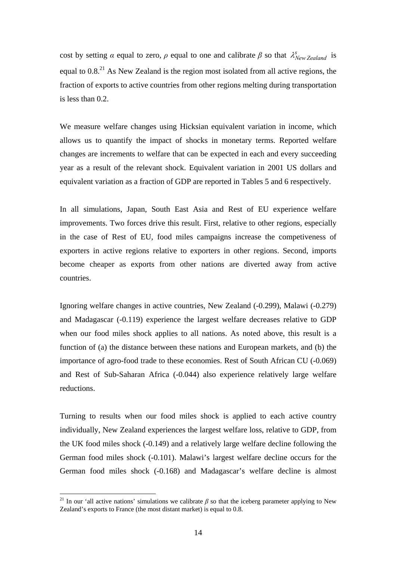cost by setting *α* equal to zero, *ρ* equal to one and calibrate *β* so that  $\lambda_{New Zealand}^s$  is equal to  $0.8<sup>21</sup>$  As New Zealand is the region most isolated from all active regions, the fraction of exports to active countries from other regions melting during transportation is less than 0.2.

We measure welfare changes using Hicksian equivalent variation in income, which allows us to quantify the impact of shocks in monetary terms. Reported welfare changes are increments to welfare that can be expected in each and every succeeding year as a result of the relevant shock. Equivalent variation in 2001 US dollars and equivalent variation as a fraction of GDP are reported in Tables 5 and 6 respectively.

In all simulations, Japan, South East Asia and Rest of EU experience welfare improvements. Two forces drive this result. First, relative to other regions, especially in the case of Rest of EU, food miles campaigns increase the competiveness of exporters in active regions relative to exporters in other regions. Second, imports become cheaper as exports from other nations are diverted away from active countries.

Ignoring welfare changes in active countries, New Zealand (-0.299), Malawi (-0.279) and Madagascar (-0.119) experience the largest welfare decreases relative to GDP when our food miles shock applies to all nations. As noted above, this result is a function of (a) the distance between these nations and European markets, and (b) the importance of agro-food trade to these economies. Rest of South African CU (-0.069) and Rest of Sub-Saharan Africa (-0.044) also experience relatively large welfare reductions.

Turning to results when our food miles shock is applied to each active country individually, New Zealand experiences the largest welfare loss, relative to GDP, from the UK food miles shock (-0.149) and a relatively large welfare decline following the German food miles shock (-0.101). Malawi's largest welfare decline occurs for the German food miles shock (-0.168) and Madagascar's welfare decline is almost

<sup>&</sup>lt;sup>21</sup> In our 'all active nations' simulations we calibrate *β* so that the iceberg parameter applying to New Zealand's exports to France (the most distant market) is equal to 0.8.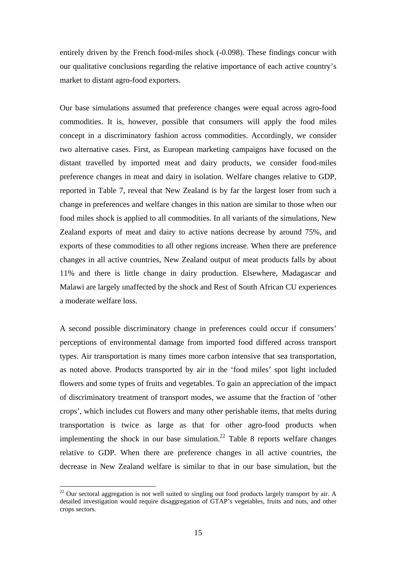entirely driven by the French food-miles shock (-0.098). These findings concur with our qualitative conclusions regarding the relative importance of each active country's market to distant agro-food exporters.

Our base simulations assumed that preference changes were equal across agro-food commodities. It is, however, possible that consumers will apply the food miles concept in a discriminatory fashion across commodities. Accordingly, we consider two alternative cases. First, as European marketing campaigns have focused on the distant travelled by imported meat and dairy products, we consider food-miles preference changes in meat and dairy in isolation. Welfare changes relative to GDP, reported in Table 7, reveal that New Zealand is by far the largest loser from such a change in preferences and welfare changes in this nation are similar to those when our food miles shock is applied to all commodities. In all variants of the simulations, New Zealand exports of meat and dairy to active nations decrease by around 75%, and exports of these commodities to all other regions increase. When there are preference changes in all active countries, New Zealand output of meat products falls by about 11% and there is little change in dairy production. Elsewhere, Madagascar and Malawi are largely unaffected by the shock and Rest of South African CU experiences a moderate welfare loss.

A second possible discriminatory change in preferences could occur if consumers' perceptions of environmental damage from imported food differed across transport types. Air transportation is many times more carbon intensive that sea transportation, as noted above. Products transported by air in the 'food miles' spot light included flowers and some types of fruits and vegetables. To gain an appreciation of the impact of discriminatory treatment of transport modes, we assume that the fraction of 'other crops', which includes cut flowers and many other perishable items, that melts during transportation is twice as large as that for other agro-food products when implementing the shock in our base simulation.<sup>22</sup> Table 8 reports welfare changes relative to GDP. When there are preference changes in all active countries, the decrease in New Zealand welfare is similar to that in our base simulation, but the

 $^{22}$  Our sectoral aggregation is not well suited to singling out food products largely transport by air. A detailed investigation would require disaggregation of GTAP's vegetables, fruits and nuts, and other crops sectors.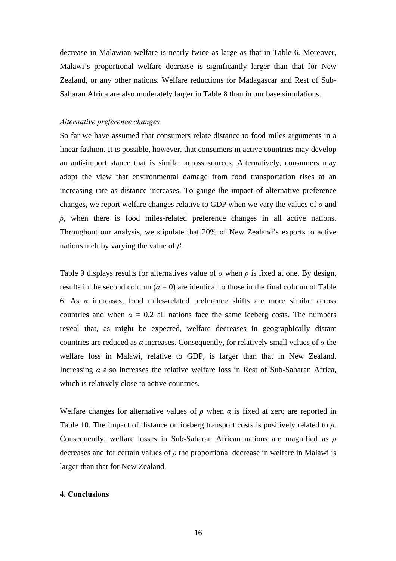decrease in Malawian welfare is nearly twice as large as that in Table 6. Moreover, Malawi's proportional welfare decrease is significantly larger than that for New Zealand, or any other nations. Welfare reductions for Madagascar and Rest of Sub-Saharan Africa are also moderately larger in Table 8 than in our base simulations.

## *Alternative preference changes*

So far we have assumed that consumers relate distance to food miles arguments in a linear fashion. It is possible, however, that consumers in active countries may develop an anti-import stance that is similar across sources. Alternatively, consumers may adopt the view that environmental damage from food transportation rises at an increasing rate as distance increases. To gauge the impact of alternative preference changes, we report welfare changes relative to GDP when we vary the values of *α* and *ρ*, when there is food miles-related preference changes in all active nations. Throughout our analysis, we stipulate that 20% of New Zealand's exports to active nations melt by varying the value of *β*.

Table 9 displays results for alternatives value of *α* when *ρ* is fixed at one. By design, results in the second column ( $\alpha = 0$ ) are identical to those in the final column of Table 6. As *α* increases, food miles-related preference shifts are more similar across countries and when  $\alpha = 0.2$  all nations face the same iceberg costs. The numbers reveal that, as might be expected, welfare decreases in geographically distant countries are reduced as *α* increases. Consequently, for relatively small values of *α* the welfare loss in Malawi, relative to GDP, is larger than that in New Zealand. Increasing *α* also increases the relative welfare loss in Rest of Sub-Saharan Africa, which is relatively close to active countries.

Welfare changes for alternative values of  $\rho$  when  $\alpha$  is fixed at zero are reported in Table 10. The impact of distance on iceberg transport costs is positively related to *ρ*. Consequently, welfare losses in Sub-Saharan African nations are magnified as *ρ* decreases and for certain values of *ρ* the proportional decrease in welfare in Malawi is larger than that for New Zealand.

## **4. Conclusions**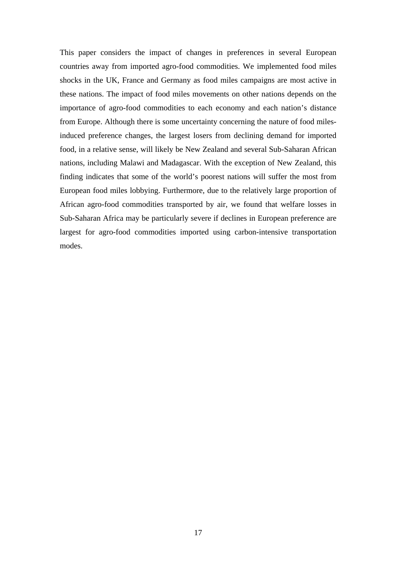This paper considers the impact of changes in preferences in several European countries away from imported agro-food commodities. We implemented food miles shocks in the UK, France and Germany as food miles campaigns are most active in these nations. The impact of food miles movements on other nations depends on the importance of agro-food commodities to each economy and each nation's distance from Europe. Although there is some uncertainty concerning the nature of food milesinduced preference changes, the largest losers from declining demand for imported food, in a relative sense, will likely be New Zealand and several Sub-Saharan African nations, including Malawi and Madagascar. With the exception of New Zealand, this finding indicates that some of the world's poorest nations will suffer the most from European food miles lobbying. Furthermore, due to the relatively large proportion of African agro-food commodities transported by air, we found that welfare losses in Sub-Saharan Africa may be particularly severe if declines in European preference are largest for agro-food commodities imported using carbon-intensive transportation modes.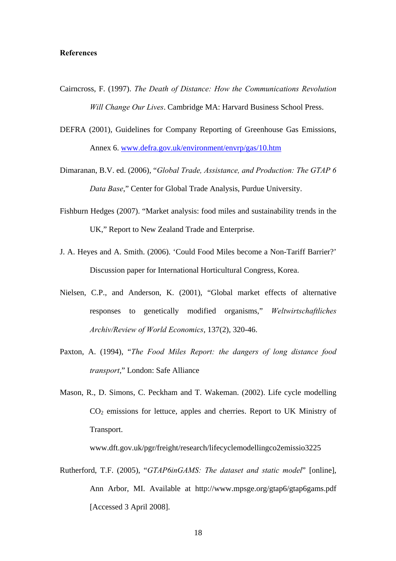## **References**

- Cairncross, F. (1997). *The Death of Distance: How the Communications Revolution Will Change Our Lives*. Cambridge MA: Harvard Business School Press.
- DEFRA (2001), Guidelines for Company Reporting of Greenhouse Gas Emissions, Annex 6. www.defra.gov.uk/environment/envrp/gas/10.htm
- Dimaranan, B.V. ed. (2006), "*Global Trade, Assistance, and Production: The GTAP 6 Data Base*," Center for Global Trade Analysis, Purdue University.
- Fishburn Hedges (2007). "Market analysis: food miles and sustainability trends in the UK," Report to New Zealand Trade and Enterprise.
- J. A. Heyes and A. Smith. (2006). 'Could Food Miles become a Non-Tariff Barrier?' Discussion paper for International Horticultural Congress, Korea.
- Nielsen, C.P., and Anderson, K. (2001), "Global market effects of alternative responses to genetically modified organisms," *Weltwirtschaftliches Archiv/Review of World Economics*, 137(2), 320-46.
- Paxton, A. (1994), "*The Food Miles Report: the dangers of long distance food transport*," London: Safe Alliance
- Mason, R., D. Simons, C. Peckham and T. Wakeman. (2002). Life cycle modelling CO2 emissions for lettuce, apples and cherries. Report to UK Ministry of Transport.

www.dft.gov.uk/pgr/freight/research/lifecyclemodellingco2emissio3225

Rutherford, T.F. (2005), "*GTAP6inGAMS: The dataset and static model*" [online], Ann Arbor, MI. Available at http://www.mpsge.org/gtap6/gtap6gams.pdf [Accessed 3 April 2008].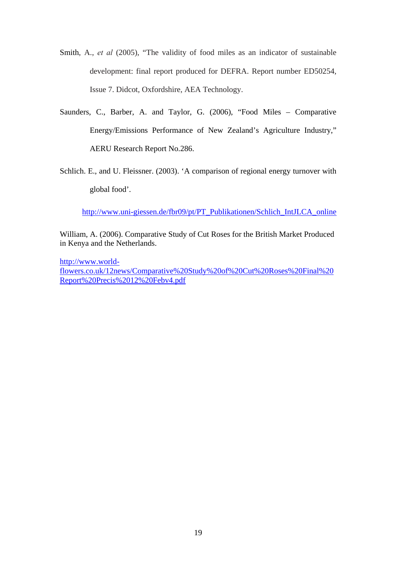- Smith, A., *et al* (2005), "The validity of food miles as an indicator of sustainable development: final report produced for DEFRA. Report number ED50254, Issue 7. Didcot, Oxfordshire, AEA Technology.
- Saunders, C., Barber, A. and Taylor, G. (2006), "Food Miles Comparative Energy/Emissions Performance of New Zealand's Agriculture Industry," AERU Research Report No.286.
- Schlich. E., and U. Fleissner. (2003). 'A comparison of regional energy turnover with global food'.

http://www.uni-giessen.de/fbr09/pt/PT\_Publikationen/Schlich\_IntJLCA\_online

William, A. (2006). Comparative Study of Cut Roses for the British Market Produced in Kenya and the Netherlands.

http://www.worldflowers.co.uk/12news/Comparative%20Study%20of%20Cut%20Roses%20Final%20 Report%20Precis%2012%20Febv4.pdf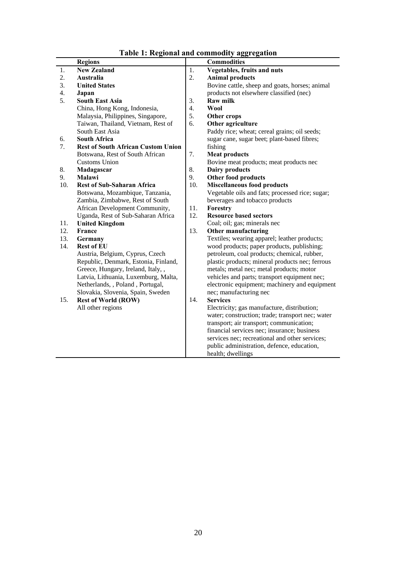|  | Table 1: Regional and commodity aggregation |
|--|---------------------------------------------|
|--|---------------------------------------------|

|     | <b>Regions</b>                            |     | талк т. кединатана сониноану адд еданон<br><b>Commodities</b> |
|-----|-------------------------------------------|-----|---------------------------------------------------------------|
| 1.  | <b>New Zealand</b>                        | 1.  | Vegetables, fruits and nuts                                   |
| 2.  | Australia                                 | 2.  | <b>Animal products</b>                                        |
| 3.  | <b>United States</b>                      |     | Bovine cattle, sheep and goats, horses; animal                |
| 4.  | Japan                                     |     | products not elsewhere classified (nec)                       |
| 5.  | <b>South East Asia</b>                    | 3.  | <b>Raw milk</b>                                               |
|     | China, Hong Kong, Indonesia,              | 4.  | <b>Wool</b>                                                   |
|     | Malaysia, Philippines, Singapore,         | 5.  | Other crops                                                   |
|     | Taiwan, Thailand, Vietnam, Rest of        | 6.  | Other agriculture                                             |
|     | South East Asia                           |     | Paddy rice; wheat; cereal grains; oil seeds;                  |
| 6.  | <b>South Africa</b>                       |     | sugar cane, sugar beet; plant-based fibres;                   |
| 7.  | <b>Rest of South African Custom Union</b> |     | fishing                                                       |
|     | Botswana, Rest of South African           | 7.  | <b>Meat products</b>                                          |
|     | <b>Customs Union</b>                      |     | Bovine meat products; meat products nec                       |
| 8.  | Madagascar                                | 8.  | <b>Dairy products</b>                                         |
| 9.  | Malawi                                    | 9.  | Other food products                                           |
| 10. | <b>Rest of Sub-Saharan Africa</b>         | 10. | <b>Miscellaneous food products</b>                            |
|     | Botswana, Mozambique, Tanzania,           |     | Vegetable oils and fats; processed rice; sugar;               |
|     | Zambia, Zimbabwe, Rest of South           |     | beverages and tobacco products                                |
|     | African Development Community,            | 11. | Forestry                                                      |
|     | Uganda, Rest of Sub-Saharan Africa        | 12. | <b>Resource based sectors</b>                                 |
| 11. | <b>United Kingdom</b>                     |     | Coal; oil; gas; minerals nec                                  |
| 12. | France                                    | 13. | <b>Other manufacturing</b>                                    |
| 13. | Germany                                   |     | Textiles; wearing apparel; leather products;                  |
| 14. | <b>Rest of EU</b>                         |     | wood products; paper products, publishing;                    |
|     | Austria, Belgium, Cyprus, Czech           |     | petroleum, coal products; chemical, rubber,                   |
|     | Republic, Denmark, Estonia, Finland,      |     | plastic products; mineral products nec; ferrous               |
|     | Greece, Hungary, Ireland, Italy,,         |     | metals; metal nec; metal products; motor                      |
|     | Latvia, Lithuania, Luxemburg, Malta,      |     | vehicles and parts; transport equipment nec;                  |
|     | Netherlands, , Poland, Portugal,          |     | electronic equipment; machinery and equipment                 |
|     | Slovakia, Slovenia, Spain, Sweden         |     | nec; manufacturing nec                                        |
| 15. | <b>Rest of World (ROW)</b>                | 14. | <b>Services</b>                                               |
|     | All other regions                         |     | Electricity; gas manufacture, distribution;                   |
|     |                                           |     | water; construction; trade; transport nec; water              |
|     |                                           |     | transport; air transport; communication;                      |
|     |                                           |     | financial services nec; insurance; business                   |
|     |                                           |     | services nec; recreational and other services;                |
|     |                                           |     | public administration, defence, education,                    |
|     |                                           |     | health; dwellings                                             |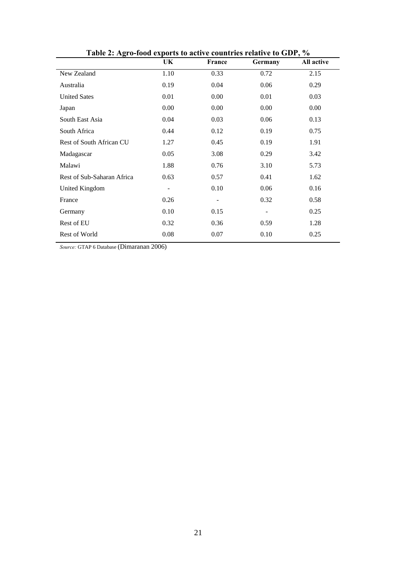|                            | UK                       | France                   | $\mathbf{r}_{\mathbf{m}}$ , $\mathbf{r}_{\mathbf{v}}$ , $\mathbf{r}_{\mathbf{v}}$ , $\mathbf{r}_{\mathbf{v}}$ , $\mathbf{r}_{\mathbf{v}}$ , $\mathbf{r}_{\mathbf{v}}$ , $\mathbf{r}_{\mathbf{v}}$ , $\mathbf{r}_{\mathbf{v}}$ , $\mathbf{r}_{\mathbf{v}}$ , $\mathbf{r}_{\mathbf{v}}$ , $\mathbf{r}_{\mathbf{v}}$ , $\mathbf{r}_{\mathbf{v}}$ , $\mathbf{r}_{\mathbf{v}}$ ,<br>Germany | All active |
|----------------------------|--------------------------|--------------------------|----------------------------------------------------------------------------------------------------------------------------------------------------------------------------------------------------------------------------------------------------------------------------------------------------------------------------------------------------------------------------------------|------------|
| New Zealand                | 1.10                     | 0.33                     | 0.72                                                                                                                                                                                                                                                                                                                                                                                   | 2.15       |
| Australia                  | 0.19                     | 0.04                     | 0.06                                                                                                                                                                                                                                                                                                                                                                                   | 0.29       |
| <b>United Sates</b>        | 0.01                     | 0.00                     | 0.01                                                                                                                                                                                                                                                                                                                                                                                   | 0.03       |
| Japan                      | 0.00                     | 0.00                     | 0.00                                                                                                                                                                                                                                                                                                                                                                                   | 0.00       |
| South East Asia            | 0.04                     | 0.03                     | 0.06                                                                                                                                                                                                                                                                                                                                                                                   | 0.13       |
| South Africa               | 0.44                     | 0.12                     | 0.19                                                                                                                                                                                                                                                                                                                                                                                   | 0.75       |
| Rest of South African CU   | 1.27                     | 0.45                     | 0.19                                                                                                                                                                                                                                                                                                                                                                                   | 1.91       |
| Madagascar                 | 0.05                     | 3.08                     | 0.29                                                                                                                                                                                                                                                                                                                                                                                   | 3.42       |
| Malawi                     | 1.88                     | 0.76                     | 3.10                                                                                                                                                                                                                                                                                                                                                                                   | 5.73       |
| Rest of Sub-Saharan Africa | 0.63                     | 0.57                     | 0.41                                                                                                                                                                                                                                                                                                                                                                                   | 1.62       |
| United Kingdom             | $\overline{\phantom{0}}$ | 0.10                     | 0.06                                                                                                                                                                                                                                                                                                                                                                                   | 0.16       |
| France                     | 0.26                     | $\overline{\phantom{a}}$ | 0.32                                                                                                                                                                                                                                                                                                                                                                                   | 0.58       |
| Germany                    | 0.10                     | 0.15                     |                                                                                                                                                                                                                                                                                                                                                                                        | 0.25       |
| Rest of EU                 | 0.32                     | 0.36                     | 0.59                                                                                                                                                                                                                                                                                                                                                                                   | 1.28       |
| Rest of World              | 0.08                     | 0.07                     | 0.10                                                                                                                                                                                                                                                                                                                                                                                   | 0.25       |

**Table 2: Agro-food exports to active countries relative to GDP, %** 

*Source:* GTAP 6 Database (Dimaranan 2006)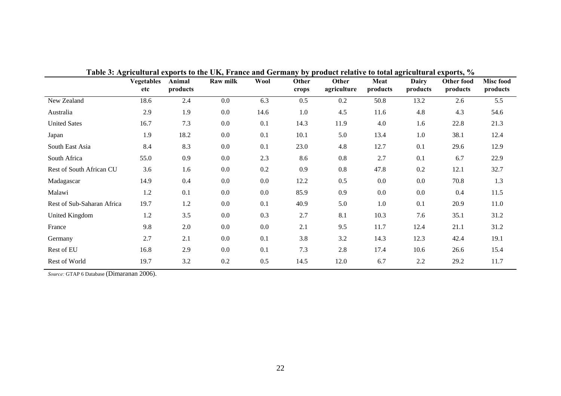| $\cdots$                   | Vegetables<br>etc | Animal<br>products | $\frac{1}{2}$ and $\frac{1}{2}$ and $\frac{1}{2}$ and $\frac{1}{2}$ and $\frac{1}{2}$ and $\frac{1}{2}$ and $\frac{1}{2}$ and $\frac{1}{2}$ and $\frac{1}{2}$ and $\frac{1}{2}$<br>Raw milk | Wool | Other<br>crops | Other<br>agriculture | Meat<br>products | <b>Dairy</b><br>products | $\mathbf{v}$ is provided by $\mathbf{v}$<br><b>Other food</b><br>products | Misc food<br>products |
|----------------------------|-------------------|--------------------|---------------------------------------------------------------------------------------------------------------------------------------------------------------------------------------------|------|----------------|----------------------|------------------|--------------------------|---------------------------------------------------------------------------|-----------------------|
| New Zealand                | 18.6              | 2.4                | 0.0                                                                                                                                                                                         | 6.3  | 0.5            | 0.2                  | 50.8             | 13.2                     | 2.6                                                                       | 5.5                   |
| Australia                  | 2.9               | 1.9                | 0.0                                                                                                                                                                                         | 14.6 | 1.0            | 4.5                  | 11.6             | 4.8                      | 4.3                                                                       | 54.6                  |
| <b>United Sates</b>        | 16.7              | 7.3                | 0.0                                                                                                                                                                                         | 0.1  | 14.3           | 11.9                 | 4.0              | 1.6                      | 22.8                                                                      | 21.3                  |
| Japan                      | 1.9               | 18.2               | 0.0                                                                                                                                                                                         | 0.1  | 10.1           | 5.0                  | 13.4             | 1.0                      | 38.1                                                                      | 12.4                  |
| South East Asia            | 8.4               | 8.3                | 0.0                                                                                                                                                                                         | 0.1  | 23.0           | 4.8                  | 12.7             | 0.1                      | 29.6                                                                      | 12.9                  |
| South Africa               | 55.0              | 0.9                | 0.0                                                                                                                                                                                         | 2.3  | 8.6            | 0.8                  | 2.7              | 0.1                      | 6.7                                                                       | 22.9                  |
| Rest of South African CU   | 3.6               | 1.6                | 0.0                                                                                                                                                                                         | 0.2  | 0.9            | 0.8                  | 47.8             | 0.2                      | 12.1                                                                      | 32.7                  |
| Madagascar                 | 14.9              | 0.4                | 0.0                                                                                                                                                                                         | 0.0  | 12.2           | 0.5                  | $0.0\,$          | $0.0\,$                  | 70.8                                                                      | 1.3                   |
| Malawi                     | 1.2               | 0.1                | 0.0                                                                                                                                                                                         | 0.0  | 85.9           | 0.9                  | $0.0\,$          | $0.0\,$                  | 0.4                                                                       | 11.5                  |
| Rest of Sub-Saharan Africa | 19.7              | 1.2                | 0.0                                                                                                                                                                                         | 0.1  | 40.9           | 5.0                  | 1.0              | 0.1                      | 20.9                                                                      | 11.0                  |
| United Kingdom             | 1.2               | 3.5                | 0.0                                                                                                                                                                                         | 0.3  | 2.7            | 8.1                  | 10.3             | 7.6                      | 35.1                                                                      | 31.2                  |
| France                     | 9.8               | 2.0                | 0.0                                                                                                                                                                                         | 0.0  | 2.1            | 9.5                  | 11.7             | 12.4                     | 21.1                                                                      | 31.2                  |
| Germany                    | 2.7               | 2.1                | 0.0                                                                                                                                                                                         | 0.1  | 3.8            | 3.2                  | 14.3             | 12.3                     | 42.4                                                                      | 19.1                  |
| Rest of EU                 | 16.8              | 2.9                | 0.0                                                                                                                                                                                         | 0.1  | 7.3            | 2.8                  | 17.4             | 10.6                     | 26.6                                                                      | 15.4                  |
| Rest of World              | 19.7              | 3.2                | 0.2                                                                                                                                                                                         | 0.5  | 14.5           | 12.0                 | 6.7              | 2.2                      | 29.2                                                                      | 11.7                  |

**Table 3: Agricultural exports to the UK, France and Germany by product relative to total agricultural exports, %** 

*Source:* GTAP 6 Database (Dimaranan 2006).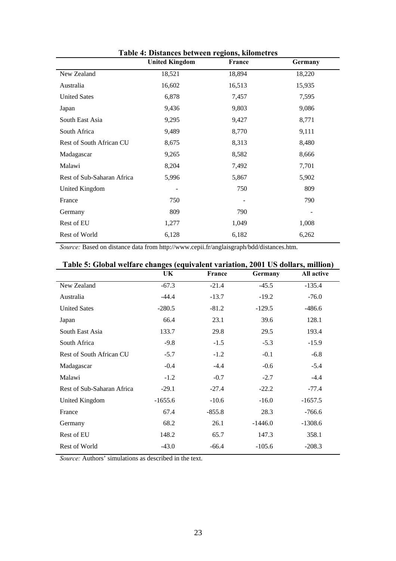| <b>United Kingdom</b> | France | Germany |
|-----------------------|--------|---------|
| 18,521                | 18,894 | 18,220  |
| 16,602                | 16,513 | 15,935  |
| 6,878                 | 7,457  | 7,595   |
| 9,436                 | 9,803  | 9,086   |
| 9,295                 | 9,427  | 8,771   |
| 9,489                 | 8,770  | 9,111   |
| 8,675                 | 8,313  | 8,480   |
| 9,265                 | 8,582  | 8,666   |
| 8,204                 | 7,492  | 7,701   |
| 5,996                 | 5,867  | 5,902   |
|                       | 750    | 809     |
| 750                   |        | 790     |
| 809                   | 790    |         |
| 1,277                 | 1,049  | 1,008   |
| 6,128                 | 6,182  | 6,262   |
|                       |        |         |

**Table 4: Distances between regions, kilometres** 

*Source:* Based on distance data from http://www.cepii.fr/anglaisgraph/bdd/distances.htm.

| Table 5: Global wellare changes (equivalent variation, 2001 US donars, million) |           |          |           |            |  |  |  |  |  |
|---------------------------------------------------------------------------------|-----------|----------|-----------|------------|--|--|--|--|--|
|                                                                                 | UK.       | France   | Germany   | All active |  |  |  |  |  |
| New Zealand                                                                     | $-67.3$   | $-21.4$  | $-45.5$   | $-135.4$   |  |  |  |  |  |
| Australia                                                                       | $-44.4$   | $-13.7$  | $-19.2$   | $-76.0$    |  |  |  |  |  |
| <b>United Sates</b>                                                             | $-280.5$  | $-81.2$  | $-129.5$  | $-486.6$   |  |  |  |  |  |
| Japan                                                                           | 66.4      | 23.1     | 39.6      | 128.1      |  |  |  |  |  |
| South East Asia                                                                 | 133.7     | 29.8     | 29.5      | 193.4      |  |  |  |  |  |
| South Africa                                                                    | $-9.8$    | $-1.5$   | $-5.3$    | $-15.9$    |  |  |  |  |  |
| Rest of South African CU                                                        | $-5.7$    | $-1.2$   | $-0.1$    | $-6.8$     |  |  |  |  |  |
| Madagascar                                                                      | $-0.4$    | $-4.4$   | $-0.6$    | $-5.4$     |  |  |  |  |  |
| Malawi                                                                          | $-1.2$    | $-0.7$   | $-2.7$    | $-4.4$     |  |  |  |  |  |
| Rest of Sub-Saharan Africa                                                      | $-29.1$   | $-27.4$  | $-22.2$   | $-77.4$    |  |  |  |  |  |
| United Kingdom                                                                  | $-1655.6$ | $-10.6$  | $-16.0$   | $-1657.5$  |  |  |  |  |  |
| France                                                                          | 67.4      | $-855.8$ | 28.3      | $-766.6$   |  |  |  |  |  |
| Germany                                                                         | 68.2      | 26.1     | $-1446.0$ | $-1308.6$  |  |  |  |  |  |
| Rest of EU                                                                      | 148.2     | 65.7     | 147.3     | 358.1      |  |  |  |  |  |
| <b>Rest of World</b>                                                            | $-43.0$   | $-66.4$  | $-105.6$  | $-208.3$   |  |  |  |  |  |

|  | Table 5: Global welfare changes (equivalent variation, 2001 US dollars, million) |  |  |  |  |
|--|----------------------------------------------------------------------------------|--|--|--|--|
|  |                                                                                  |  |  |  |  |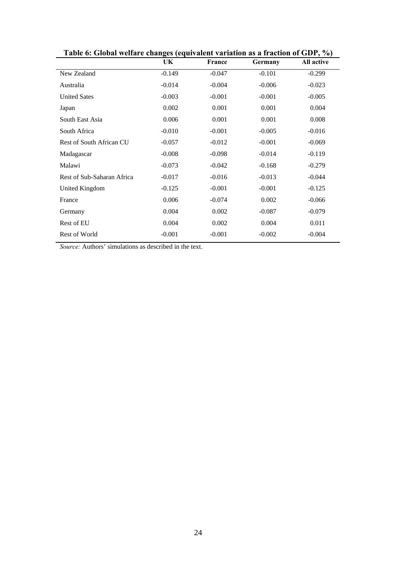|                            | UK       | France   | Germany  | All active |
|----------------------------|----------|----------|----------|------------|
| New Zealand                | $-0.149$ | $-0.047$ | $-0.101$ | $-0.299$   |
| Australia                  | $-0.014$ | $-0.004$ | $-0.006$ | $-0.023$   |
| <b>United Sates</b>        | $-0.003$ | $-0.001$ | $-0.001$ | $-0.005$   |
| Japan                      | 0.002    | 0.001    | 0.001    | 0.004      |
| South East Asia            | 0.006    | 0.001    | 0.001    | 0.008      |
| South Africa               | $-0.010$ | $-0.001$ | $-0.005$ | $-0.016$   |
| Rest of South African CU   | $-0.057$ | $-0.012$ | $-0.001$ | $-0.069$   |
| Madagascar                 | $-0.008$ | $-0.098$ | $-0.014$ | $-0.119$   |
| Malawi                     | $-0.073$ | $-0.042$ | $-0.168$ | $-0.279$   |
| Rest of Sub-Saharan Africa | $-0.017$ | $-0.016$ | $-0.013$ | $-0.044$   |
| United Kingdom             | $-0.125$ | $-0.001$ | $-0.001$ | $-0.125$   |
| France                     | 0.006    | $-0.074$ | 0.002    | $-0.066$   |
| Germany                    | 0.004    | 0.002    | $-0.087$ | $-0.079$   |
| Rest of EU                 | 0.004    | 0.002    | 0.004    | 0.011      |
| Rest of World              | $-0.001$ | $-0.001$ | $-0.002$ | $-0.004$   |
|                            |          |          |          |            |

**Table 6: Global welfare changes (equivalent variation as a fraction of GDP, %)**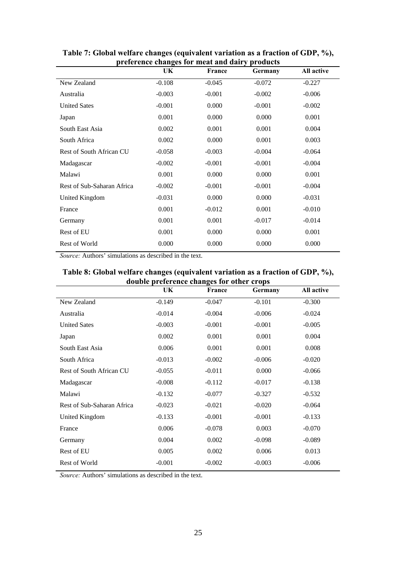| preference changes for meat and dairy products |          |               |          |            |  |  |  |  |  |
|------------------------------------------------|----------|---------------|----------|------------|--|--|--|--|--|
|                                                | UK.      | <b>France</b> | Germany  | All active |  |  |  |  |  |
| New Zealand                                    | $-0.108$ | $-0.045$      | $-0.072$ | $-0.227$   |  |  |  |  |  |
| Australia                                      | $-0.003$ | $-0.001$      | $-0.002$ | $-0.006$   |  |  |  |  |  |
| <b>United Sates</b>                            | $-0.001$ | 0.000         | $-0.001$ | $-0.002$   |  |  |  |  |  |
| Japan                                          | 0.001    | 0.000         | 0.000    | 0.001      |  |  |  |  |  |
| South East Asia                                | 0.002    | 0.001         | 0.001    | 0.004      |  |  |  |  |  |
| South Africa                                   | 0.002    | 0.000         | 0.001    | 0.003      |  |  |  |  |  |
| Rest of South African CU                       | $-0.058$ | $-0.003$      | $-0.004$ | $-0.064$   |  |  |  |  |  |
| Madagascar                                     | $-0.002$ | $-0.001$      | $-0.001$ | $-0.004$   |  |  |  |  |  |
| Malawi                                         | 0.001    | 0.000         | 0.000    | 0.001      |  |  |  |  |  |
| Rest of Sub-Saharan Africa                     | $-0.002$ | $-0.001$      | $-0.001$ | $-0.004$   |  |  |  |  |  |
| United Kingdom                                 | $-0.031$ | 0.000         | 0.000    | $-0.031$   |  |  |  |  |  |
| France                                         | 0.001    | $-0.012$      | 0.001    | $-0.010$   |  |  |  |  |  |
| Germany                                        | 0.001    | 0.001         | $-0.017$ | $-0.014$   |  |  |  |  |  |
| Rest of EU                                     | 0.001    | 0.000         | 0.000    | 0.001      |  |  |  |  |  |
| <b>Rest of World</b>                           | 0.000    | 0.000         | 0.000    | 0.000      |  |  |  |  |  |
|                                                |          |               |          |            |  |  |  |  |  |

**Table 7: Global welfare changes (equivalent variation as a fraction of GDP, %), preference changes for meat and dairy products** 

*Source:* Authors' simulations as described in the text.

| double preference changes for other crops |          |          |          |          |  |  |  |  |  |  |
|-------------------------------------------|----------|----------|----------|----------|--|--|--|--|--|--|
| All active<br>UK<br>France<br>Germany     |          |          |          |          |  |  |  |  |  |  |
| New Zealand                               | $-0.149$ | $-0.047$ | $-0.101$ | $-0.300$ |  |  |  |  |  |  |
| Australia                                 | $-0.014$ | $-0.004$ | $-0.006$ | $-0.024$ |  |  |  |  |  |  |
| <b>United Sates</b>                       | $-0.003$ | $-0.001$ | $-0.001$ | $-0.005$ |  |  |  |  |  |  |
| Japan                                     | 0.002    | 0.001    | 0.001    | 0.004    |  |  |  |  |  |  |
| South East Asia                           | 0.006    | 0.001    | 0.001    | 0.008    |  |  |  |  |  |  |
| South Africa                              | $-0.013$ | $-0.002$ | $-0.006$ | $-0.020$ |  |  |  |  |  |  |
| Rest of South African CU                  | $-0.055$ | $-0.011$ | 0.000    | $-0.066$ |  |  |  |  |  |  |
| Madagascar                                | $-0.008$ | $-0.112$ | $-0.017$ | $-0.138$ |  |  |  |  |  |  |
| Malawi                                    | $-0.132$ | $-0.077$ | $-0.327$ | $-0.532$ |  |  |  |  |  |  |
| Rest of Sub-Saharan Africa                | $-0.023$ | $-0.021$ | $-0.020$ | $-0.064$ |  |  |  |  |  |  |
| United Kingdom                            | $-0.133$ | $-0.001$ | $-0.001$ | $-0.133$ |  |  |  |  |  |  |
| France                                    | 0.006    | $-0.078$ | 0.003    | $-0.070$ |  |  |  |  |  |  |
| Germany                                   | 0.004    | 0.002    | $-0.098$ | $-0.089$ |  |  |  |  |  |  |
| Rest of EU                                | 0.005    | 0.002    | 0.006    | 0.013    |  |  |  |  |  |  |
| Rest of World                             | $-0.001$ | $-0.002$ | $-0.003$ | $-0.006$ |  |  |  |  |  |  |

**Table 8: Global welfare changes (equivalent variation as a fraction of GDP, %),**